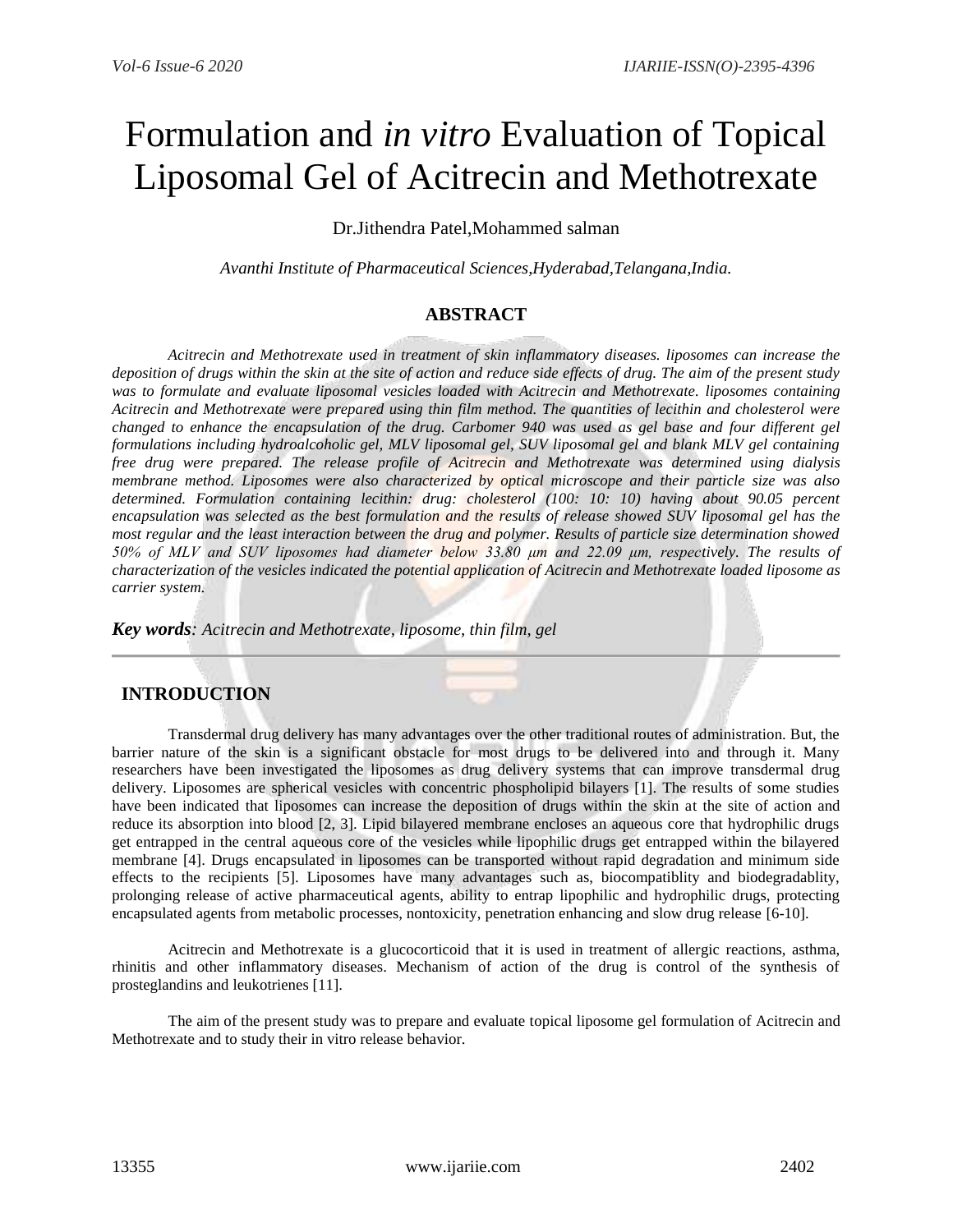# Formulation and *in vitro* Evaluation of Topical Liposomal Gel of Acitrecin and Methotrexate

## Dr.Jithendra Patel,Mohammed salman

*Avanthi Institute of Pharmaceutical Sciences,Hyderabad,Telangana,India.*

## **ABSTRACT**

*Acitrecin and Methotrexate used in treatment of skin inflammatory diseases. liposomes can increase the deposition of drugs within the skin at the site of action and reduce side effects of drug. The aim of the present study was to formulate and evaluate liposomal vesicles loaded with Acitrecin and Methotrexate. liposomes containing Acitrecin and Methotrexate were prepared using thin film method. The quantities of lecithin and cholesterol were changed to enhance the encapsulation of the drug. Carbomer 940 was used as gel base and four different gel formulations including hydroalcoholic gel, MLV liposomal gel, SUV liposomal gel and blank MLV gel containing free drug were prepared. The release profile of Acitrecin and Methotrexate was determined using dialysis membrane method. Liposomes were also characterized by optical microscope and their particle size was also determined. Formulation containing lecithin: drug: cholesterol (100: 10: 10) having about 90.05 percent encapsulation was selected as the best formulation and the results of release showed SUV liposomal gel has the most regular and the least interaction between the drug and polymer. Results of particle size determination showed 50% of MLV and SUV liposomes had diameter below 33.80 μm and 22.09 μm, respectively. The results of characterization of the vesicles indicated the potential application of Acitrecin and Methotrexate loaded liposome as carrier system.*

*Key words: Acitrecin and Methotrexate, liposome, thin film, gel*

## **INTRODUCTION**

Transdermal drug delivery has many advantages over the other traditional routes of administration. But, the barrier nature of the skin is a significant obstacle for most drugs to be delivered into and through it. Many researchers have been investigated the liposomes as drug delivery systems that can improve transdermal drug delivery. Liposomes are spherical vesicles with concentric phospholipid bilayers [1]. The results of some studies have been indicated that liposomes can increase the deposition of drugs within the skin at the site of action and reduce its absorption into blood [2, 3]. Lipid bilayered membrane encloses an aqueous core that hydrophilic drugs get entrapped in the central aqueous core of the vesicles while lipophilic drugs get entrapped within the bilayered membrane [4]. Drugs encapsulated in liposomes can be transported without rapid degradation and minimum side effects to the recipients [5]. Liposomes have many advantages such as, biocompatiblity and biodegradablity, prolonging release of active pharmaceutical agents, ability to entrap lipophilic and hydrophilic drugs, protecting encapsulated agents from metabolic processes, nontoxicity, penetration enhancing and slow drug release [6-10].

Acitrecin and Methotrexate is a glucocorticoid that it is used in treatment of allergic reactions, asthma, rhinitis and other inflammatory diseases. Mechanism of action of the drug is control of the synthesis of prosteglandins and leukotrienes [11].

The aim of the present study was to prepare and evaluate topical liposome gel formulation of Acitrecin and Methotrexate and to study their in vitro release behavior.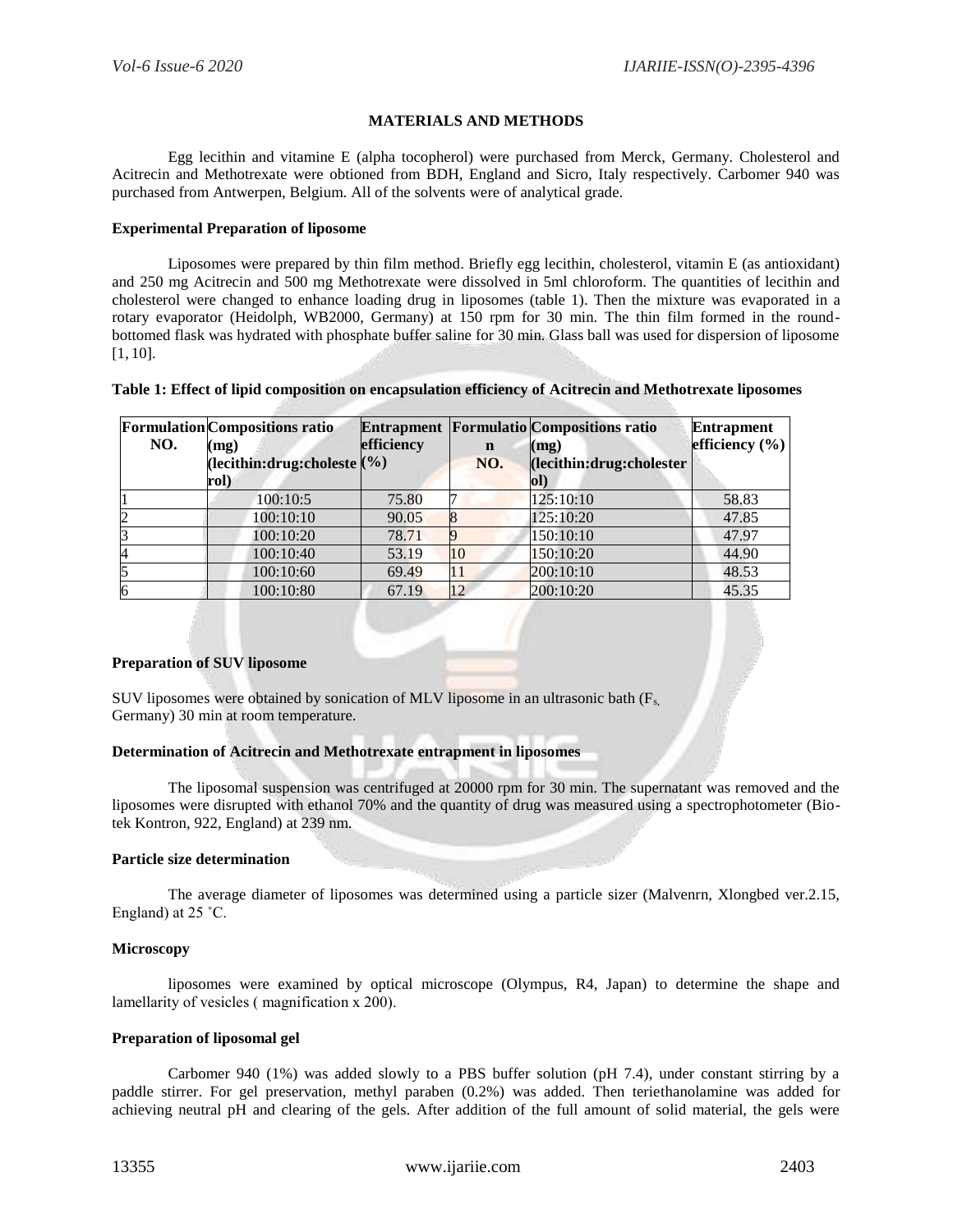#### **MATERIALS AND METHODS**

Egg lecithin and vitamine E (alpha tocopherol) were purchased from Merck, Germany. Cholesterol and Acitrecin and Methotrexate were obtioned from BDH, England and Sicro, Italy respectively. Carbomer 940 was purchased from Antwerpen, Belgium. All of the solvents were of analytical grade.

#### **Experimental Preparation of liposome**

Liposomes were prepared by thin film method. Briefly egg lecithin, cholesterol, vitamin E (as antioxidant) and 250 mg Acitrecin and 500 mg Methotrexate were dissolved in 5ml chloroform. The quantities of lecithin and cholesterol were changed to enhance loading drug in liposomes (table 1). Then the mixture was evaporated in a rotary evaporator (Heidolph, WB2000, Germany) at 150 rpm for 30 min. The thin film formed in the roundbottomed flask was hydrated with phosphate buffer saline for 30 min. Glass ball was used for dispersion of liposome [1, 10].

| Table 1: Effect of lipid composition on encapsulation efficiency of Acitrecin and Methotrexate liposomes |
|----------------------------------------------------------------------------------------------------------|
|----------------------------------------------------------------------------------------------------------|

| NO. | <b>Formulation</b> Compositions ratio<br>(mg)<br>(lecithin:drug:choleste $(\% )$<br>rol) | efficiency | $\mathbf n$<br>NO. | <b>Entrapment Formulatio Compositions ratio</b><br>(mg)<br>(lecithin:drug:cholester<br>ol) | <b>Entrapment</b><br>efficiency (%) |
|-----|------------------------------------------------------------------------------------------|------------|--------------------|--------------------------------------------------------------------------------------------|-------------------------------------|
|     | 100:10:5                                                                                 | 75.80      |                    | 125:10:10                                                                                  | 58.83                               |
| 2   | 100:10:10                                                                                | 90.05      |                    | 125:10:20                                                                                  | 47.85                               |
|     | 100:10:20                                                                                | 78.71      |                    | 150:10:10                                                                                  | 47.97                               |
| 14  | 100:10:40                                                                                | 53.19      | 10                 | 150:10:20                                                                                  | 44.90                               |
| 5   | 100:10:60                                                                                | 69.49      | 11                 | 200:10:10                                                                                  | 48.53                               |
| 6   | 100:10:80                                                                                | 67.19      | 12                 | 200:10:20                                                                                  | 45.35                               |

#### **Preparation of SUV liposome**

SUV liposomes were obtained by sonication of MLV liposome in an ultrasonic bath  $(F_s)$ Germany) 30 min at room temperature.

#### **Determination of Acitrecin and Methotrexate entrapment in liposomes**

The liposomal suspension was centrifuged at 20000 rpm for 30 min. The supernatant was removed and the liposomes were disrupted with ethanol 70% and the quantity of drug was measured using a spectrophotometer (Biotek Kontron, 922, England) at 239 nm.

#### **Particle size determination**

The average diameter of liposomes was determined using a particle sizer (Malvenrn, Xlongbed ver.2.15, England) at 25 ˚C.

#### **Microscopy**

liposomes were examined by optical microscope (Olympus, R4, Japan) to determine the shape and lamellarity of vesicles ( magnification х 200).

#### **Preparation of liposomal gel**

Carbomer 940 (1%) was added slowly to a PBS buffer solution (pH 7.4), under constant stirring by a paddle stirrer. For gel preservation, methyl paraben (0.2%) was added. Then teriethanolamine was added for achieving neutral pH and clearing of the gels. After addition of the full amount of solid material, the gels were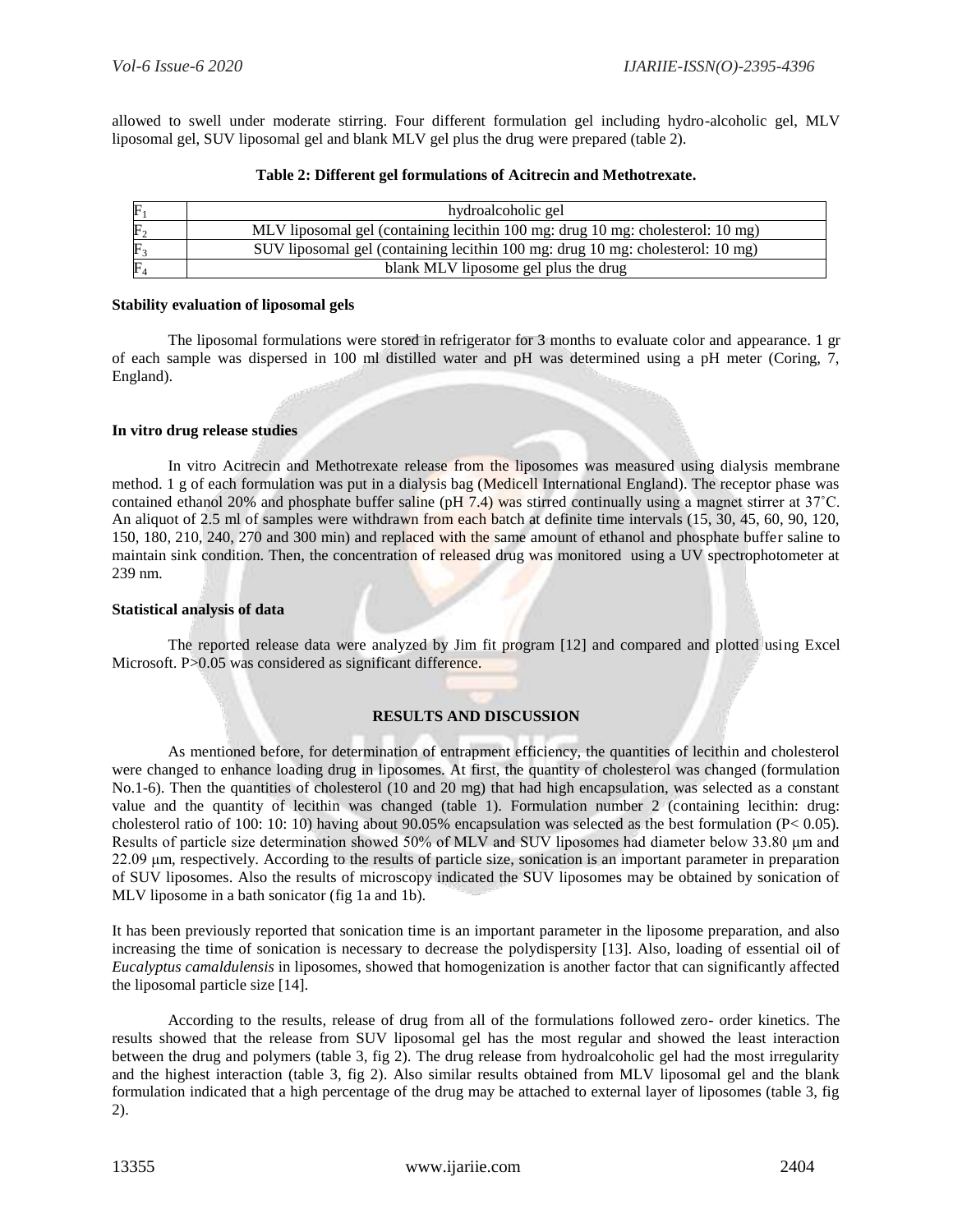allowed to swell under moderate stirring. Four different formulation gel including hydro-alcoholic gel, MLV liposomal gel, SUV liposomal gel and blank MLV gel plus the drug were prepared (table 2).

| ${\rm F}$      | hydroalcoholic gel                                                             |
|----------------|--------------------------------------------------------------------------------|
| $\rm{F}_2$     | MLV liposomal gel (containing lecithin 100 mg: drug 10 mg: cholesterol: 10 mg) |
| ${\bf F}_3$    | SUV liposomal gel (containing lecithin 100 mg: drug 10 mg: cholesterol: 10 mg) |
| $\mathrm{F}_4$ | blank MLV liposome gel plus the drug                                           |

#### **Table 2: Different gel formulations of Acitrecin and Methotrexate.**

#### **Stability evaluation of liposomal gels**

The liposomal formulations were stored in refrigerator for 3 months to evaluate color and appearance. 1 gr of each sample was dispersed in 100 ml distilled water and pH was determined using a pH meter (Coring, 7, England).

#### **In vitro drug release studies**

In vitro Acitrecin and Methotrexate release from the liposomes was measured using dialysis membrane method. 1 g of each formulation was put in a dialysis bag (Medicell International England). The receptor phase was contained ethanol 20% and phosphate buffer saline (pH 7.4) was stirred continually using a magnet stirrer at 37˚C. An aliquot of 2.5 ml of samples were withdrawn from each batch at definite time intervals (15, 30, 45, 60, 90, 120, 150, 180, 210, 240, 270 and 300 min) and replaced with the same amount of ethanol and phosphate buffer saline to maintain sink condition. Then, the concentration of released drug was monitored using a UV spectrophotometer at 239 nm.

#### **Statistical analysis of data**

The reported release data were analyzed by Jim fit program [12] and compared and plotted using Excel Microsoft. P>0.05 was considered as significant difference.

#### **RESULTS AND DISCUSSION**

As mentioned before, for determination of entrapment efficiency, the quantities of lecithin and cholesterol were changed to enhance loading drug in liposomes. At first, the quantity of cholesterol was changed (formulation No.1-6). Then the quantities of cholesterol (10 and 20 mg) that had high encapsulation, was selected as a constant value and the quantity of lecithin was changed (table 1). Formulation number 2 (containing lecithin: drug: cholesterol ratio of 100: 10: 10) having about 90.05% encapsulation was selected as the best formulation ( $P < 0.05$ ). Results of particle size determination showed 50% of MLV and SUV liposomes had diameter below 33.80 μm and 22.09 μm, respectively. According to the results of particle size, sonication is an important parameter in preparation of SUV liposomes. Also the results of microscopy indicated the SUV liposomes may be obtained by sonication of MLV liposome in a bath sonicator (fig 1a and 1b).

It has been previously reported that sonication time is an important parameter in the liposome preparation, and also increasing the time of sonication is necessary to decrease the polydispersity [13]. Also, loading of essential oil of *Eucalyptus camaldulensis* in liposomes, showed that homogenization is another factor that can significantly affected the liposomal particle size [14].

According to the results, release of drug from all of the formulations followed zero- order kinetics. The results showed that the release from SUV liposomal gel has the most regular and showed the least interaction between the drug and polymers (table 3, fig 2). The drug release from hydroalcoholic gel had the most irregularity and the highest interaction (table 3, fig 2). Also similar results obtained from MLV liposomal gel and the blank formulation indicated that a high percentage of the drug may be attached to external layer of liposomes (table 3, fig 2).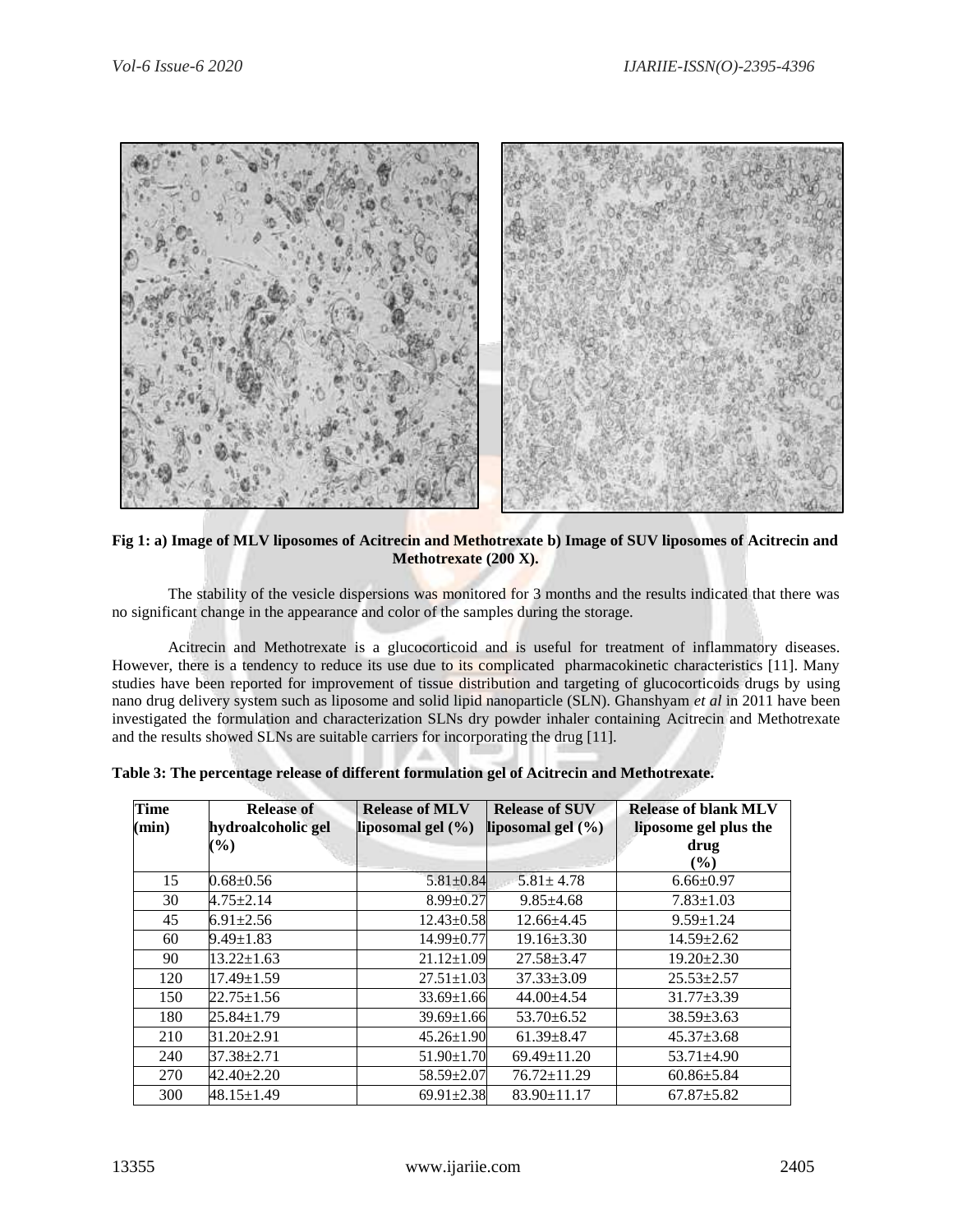

**Fig 1: a) Image of MLV liposomes of Acitrecin and Methotrexate b) Image of SUV liposomes of Acitrecin and Methotrexate (200 X).**

The stability of the vesicle dispersions was monitored for 3 months and the results indicated that there was no significant change in the appearance and color of the samples during the storage.

Acitrecin and Methotrexate is a glucocorticoid and is useful for treatment of inflammatory diseases. However, there is a tendency to reduce its use due to its complicated pharmacokinetic characteristics [11]. Many studies have been reported for improvement of tissue distribution and targeting of glucocorticoids drugs by using nano drug delivery system such as liposome and solid lipid nanoparticle (SLN). Ghanshyam *et al* in 2011 have been investigated the formulation and characterization SLNs dry powder inhaler containing Acitrecin and Methotrexate and the results showed SLNs are suitable carriers for incorporating the drug [11].

| <b>Time</b><br>(min) | <b>Release of</b><br>hydroalcoholic gel<br>$\left( \frac{9}{6} \right)$ | <b>Release of MLV</b><br>liposomal gel $(\% )$ | <b>Release of SUV</b><br>liposomal gel $(\% )$ | <b>Release of blank MLV</b><br>liposome gel plus the<br>drug<br>$($ %) |
|----------------------|-------------------------------------------------------------------------|------------------------------------------------|------------------------------------------------|------------------------------------------------------------------------|
| 15                   | $0.68 \pm 0.56$                                                         | $5.81 \pm 0.84$                                | $5.81 \pm 4.78$                                | $6.66 \pm 0.97$                                                        |
| 30                   | $4.75 \pm 2.14$                                                         | $8.99 \pm 0.27$                                | $9.85 \pm 4.68$                                | $7.83 \pm 1.03$                                                        |
| 45                   | $6.91 \pm 2.56$                                                         | $12.43 \pm 0.58$                               | $12.66 + 4.45$                                 | $9.59 \pm 1.24$                                                        |
| 60                   | $9.49 \pm 1.83$                                                         | $14.99 \pm 0.77$                               | $19.16 \pm 3.30$                               | $14.59 \pm 2.62$                                                       |
| 90                   | $13.22 \pm 1.63$                                                        | $21.12 \pm 1.09$                               | $27.58 + 3.47$                                 | $19.20 \pm 2.30$                                                       |
| 120                  | $17.49 \pm 1.59$                                                        | $27.51 \pm 1.03$                               | $37.33 \pm 3.09$                               | $25.53 \pm 2.57$                                                       |
| 150                  | 22.75±1.56                                                              | $33.69 \pm 1.66$                               | 44.00±4.54                                     | $31.77 \pm 3.39$                                                       |
| 180                  | $25.84 \pm 1.79$                                                        | $39.69 \pm 1.66$                               | $53.70 \pm 6.52$                               | $38.59 \pm 3.63$                                                       |
| 210                  | 31.20±2.91                                                              | $45.26 \pm 1.90$                               | $61.39 \pm 8.47$                               | $45.37 \pm 3.68$                                                       |
| 240                  | 37.38±2.71                                                              | $51.90 \pm 1.70$                               | $69.49 \pm 11.20$                              | $53.71 \pm 4.90$                                                       |
| 270                  | $42.40 \pm 2.20$                                                        | $58.59 \pm 2.07$                               | $76.72 \pm 11.29$                              | $60.86 \pm 5.84$                                                       |
| 300                  | $48.15 \pm 1.49$                                                        | $69.91 \pm 2.38$                               | $83.90 \pm 11.17$                              | $67.87 \pm 5.82$                                                       |

**Table 3: The percentage release of different formulation gel of Acitrecin and Methotrexate.**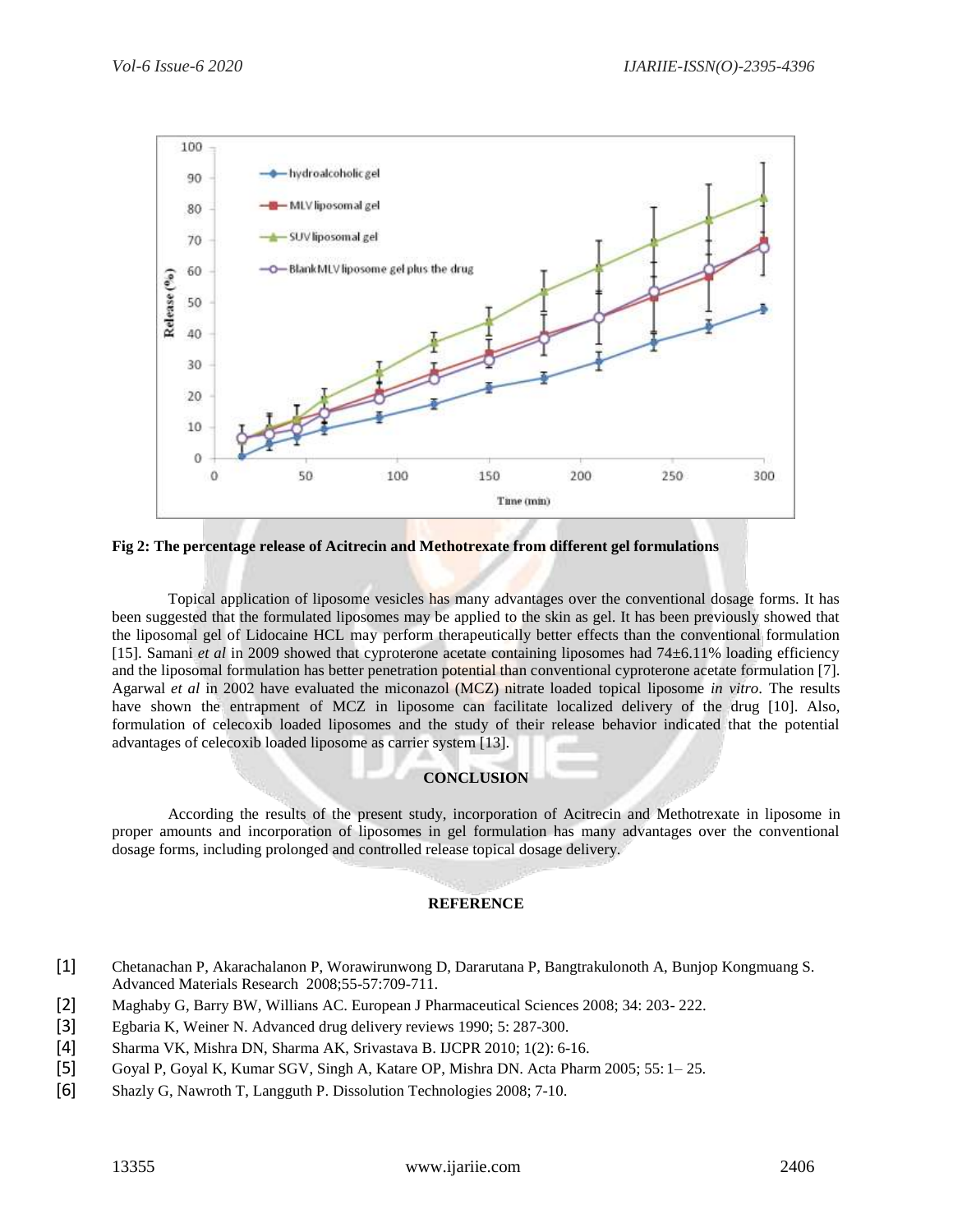

**Fig 2: The percentage release of Acitrecin and Methotrexate from different gel formulations**

Topical application of liposome vesicles has many advantages over the conventional dosage forms. It has been suggested that the formulated liposomes may be applied to the skin as gel. It has been previously showed that the liposomal gel of Lidocaine HCL may perform therapeutically better effects than the conventional formulation [15]. Samani *et al* in 2009 showed that cyproterone acetate containing liposomes had 74±6.11% loading efficiency and the liposomal formulation has better penetration potential than conventional cyproterone acetate formulation [7]. Agarwal *et al* in 2002 have evaluated the miconazol (MCZ) nitrate loaded topical liposome *in vitro*. The results have shown the entrapment of MCZ in liposome can facilitate localized delivery of the drug [10]. Also, formulation of celecoxib loaded liposomes and the study of their release behavior indicated that the potential advantages of celecoxib loaded liposome as carrier system [13].

## **CONCLUSION**

According the results of the present study, incorporation of Acitrecin and Methotrexate in liposome in proper amounts and incorporation of liposomes in gel formulation has many advantages over the conventional dosage forms, including prolonged and controlled release topical dosage delivery.

### **REFERENCE**

- [1] Chetanachan P, Akarachalanon P, Worawirunwong D, Dararutana P, Bangtrakulonoth A, Bunjop Kongmuang S. Advanced Materials Research 2008;55-57:709-711.
- [2] Maghaby G, Barry BW, Willians AC. European J Pharmaceutical Sciences 2008; 34: 203- 222.
- [3] Egbaria K, Weiner N. Advanced drug delivery reviews 1990; 5: 287-300.
- [4] Sharma VK, Mishra DN, Sharma AK, Srivastava B. IJCPR 2010; 1(2): 6-16.
- [5] Goyal P, Goyal K, Kumar SGV, Singh A, Katare OP, Mishra DN. Acta Pharm 2005; 55: 1– 25.
- [6] Shazly G, Nawroth T, Langguth P. Dissolution Technologies 2008; 7-10.